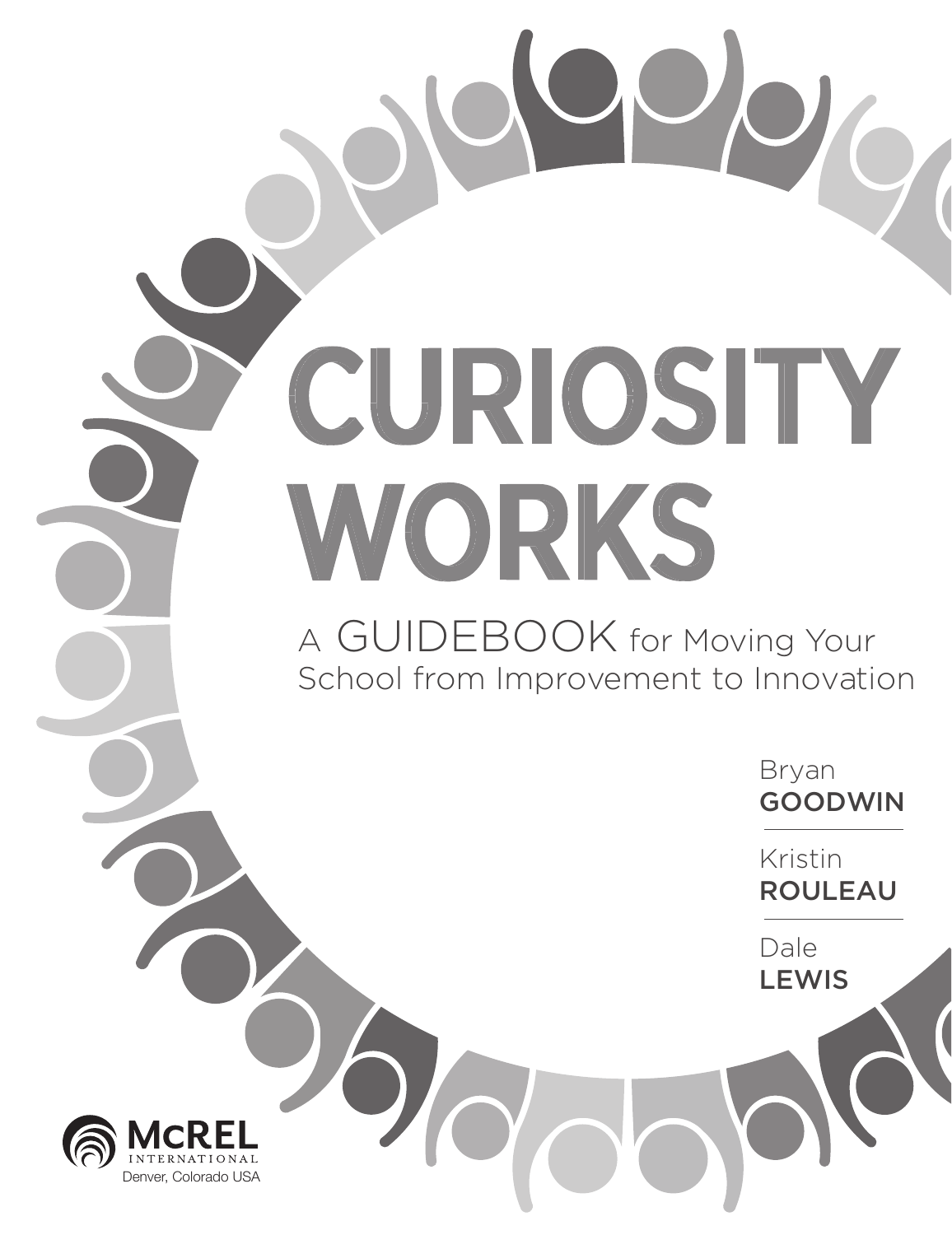# CURIOSITY JORKS

A GUIDEBOOK for Moving Your School from Improvement to Innovation

> Bryan GOODWIN

Kristin ROULEAU

Dale **LEWIS** 

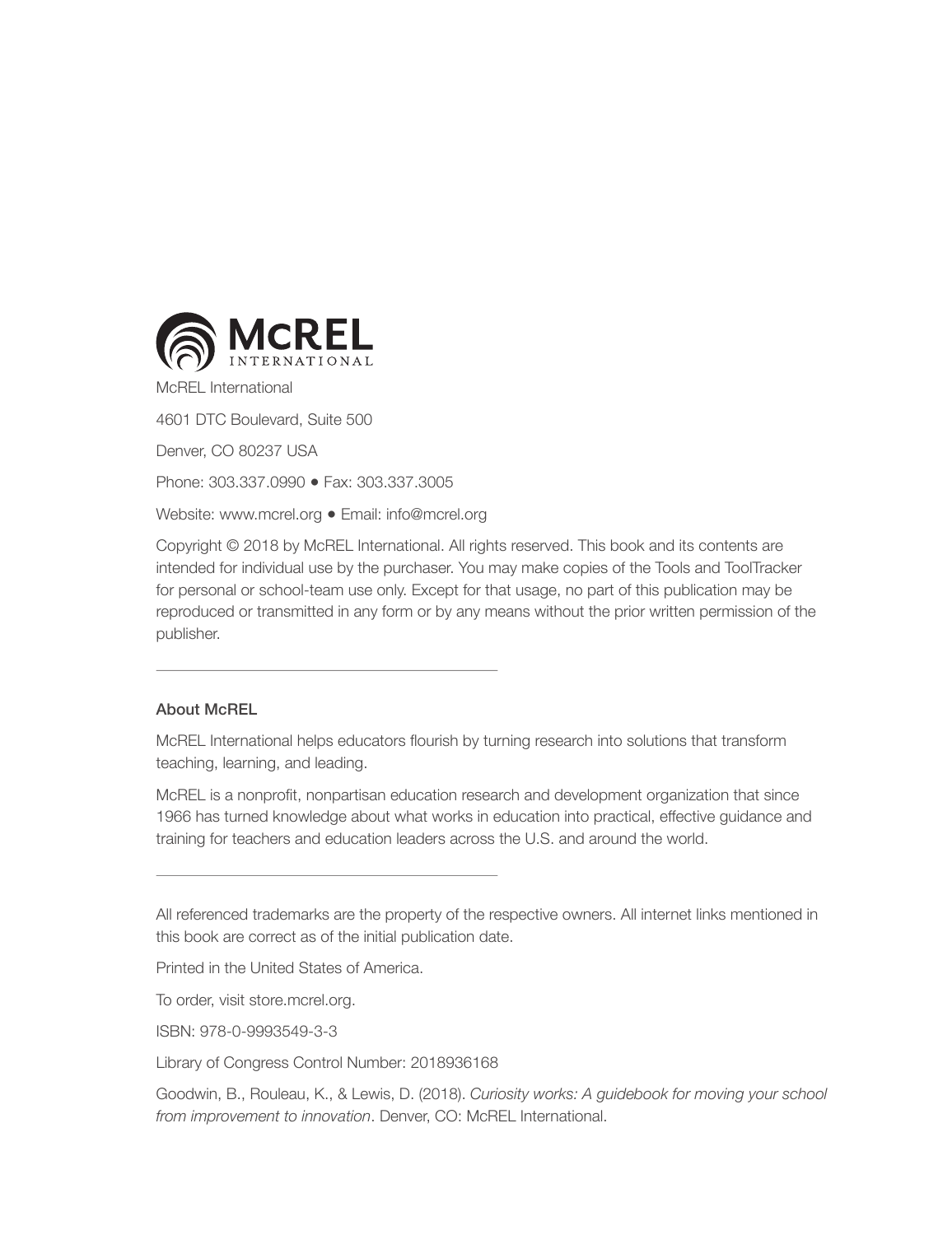

McREL International

4601 DTC Boulevard, Suite 500

Denver, CO 80237 USA

Phone: 303.337.0990 ● Fax: 303.337.3005

Website: www.mcrel.org ● Email: info@mcrel.org

Copyright © 2018 by McREL International. All rights reserved. This book and its contents are intended for individual use by the purchaser. You may make copies of the Tools and ToolTracker for personal or school-team use only. Except for that usage, no part of this publication may be reproduced or transmitted in any form or by any means without the prior written permission of the publisher.

#### About McREL

McREL International helps educators flourish by turning research into solutions that transform teaching, learning, and leading.

McREL is a nonprofit, nonpartisan education research and development organization that since 1966 has turned knowledge about what works in education into practical, effective guidance and training for teachers and education leaders across the U.S. and around the world.

All referenced trademarks are the property of the respective owners. All internet links mentioned in this book are correct as of the initial publication date.

Printed in the United States of America.

To order, visit store.mcrel.org.

ISBN: 978-0-9993549-3-3

Library of Congress Control Number: 2018936168

Goodwin, B., Rouleau, K., & Lewis, D. (2018). *Curiosity works: A guidebook for moving your school from improvement to innovation*. Denver, CO: McREL International.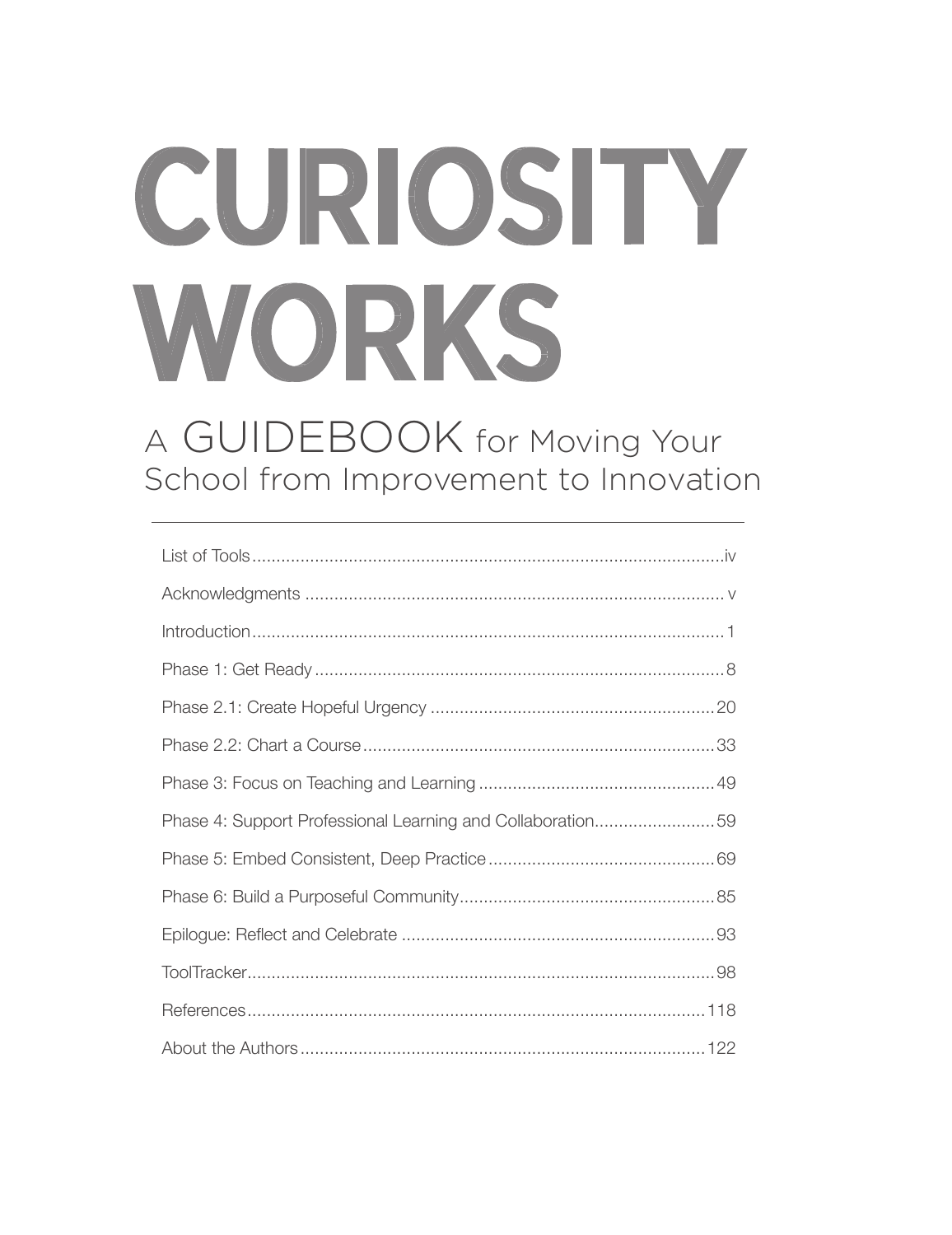## CURIOSITY WORKS

A GUIDEBOOK for Moving Your School from Improvement to Innovation

| Phase 4: Support Professional Learning and Collaboration59 |
|------------------------------------------------------------|
|                                                            |
|                                                            |
|                                                            |
|                                                            |
|                                                            |
|                                                            |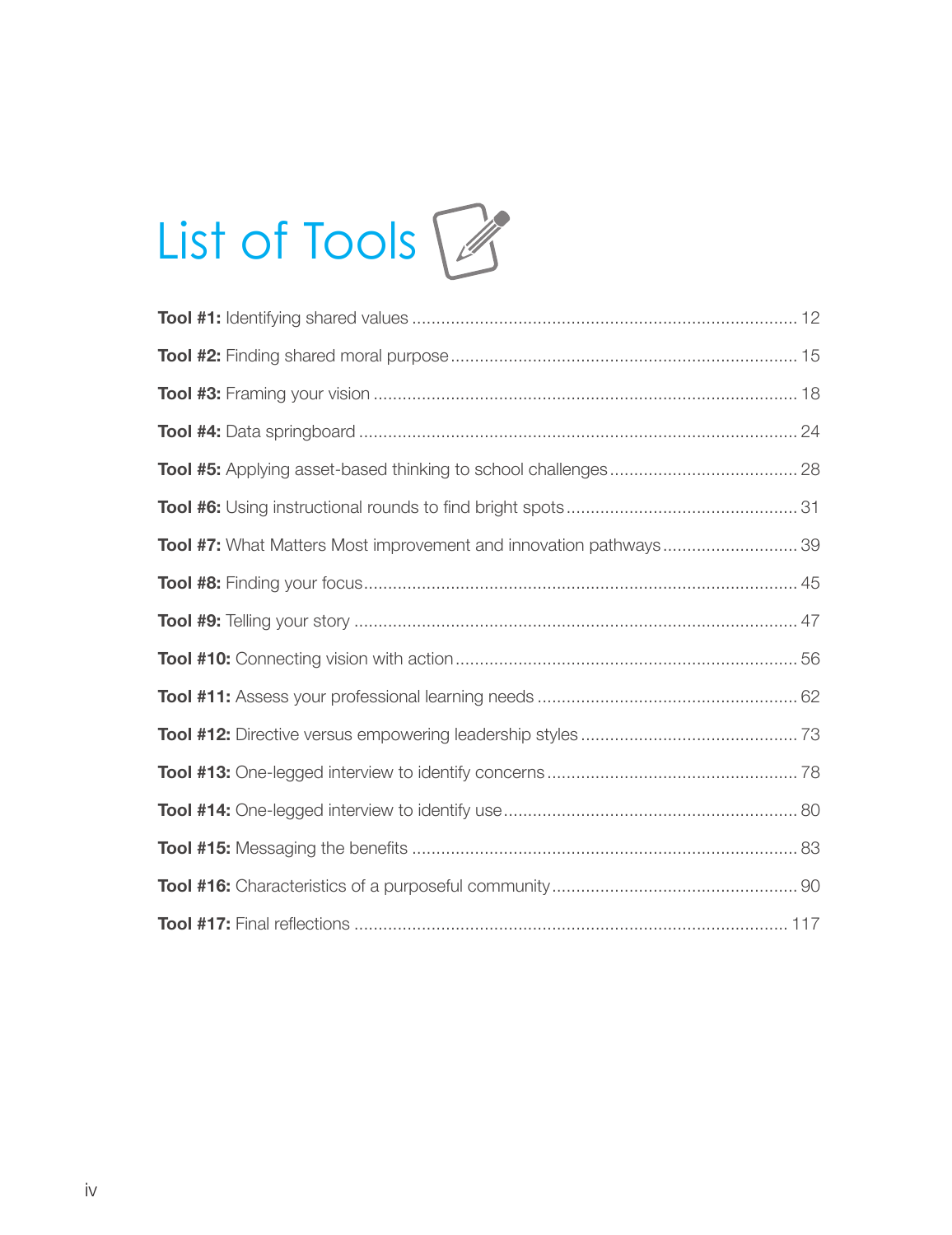## List of Tools<sup>2</sup>

| Tool #7: What Matters Most improvement and innovation pathways 39 |  |
|-------------------------------------------------------------------|--|
|                                                                   |  |
|                                                                   |  |
|                                                                   |  |
|                                                                   |  |
|                                                                   |  |
|                                                                   |  |
|                                                                   |  |
|                                                                   |  |
|                                                                   |  |
|                                                                   |  |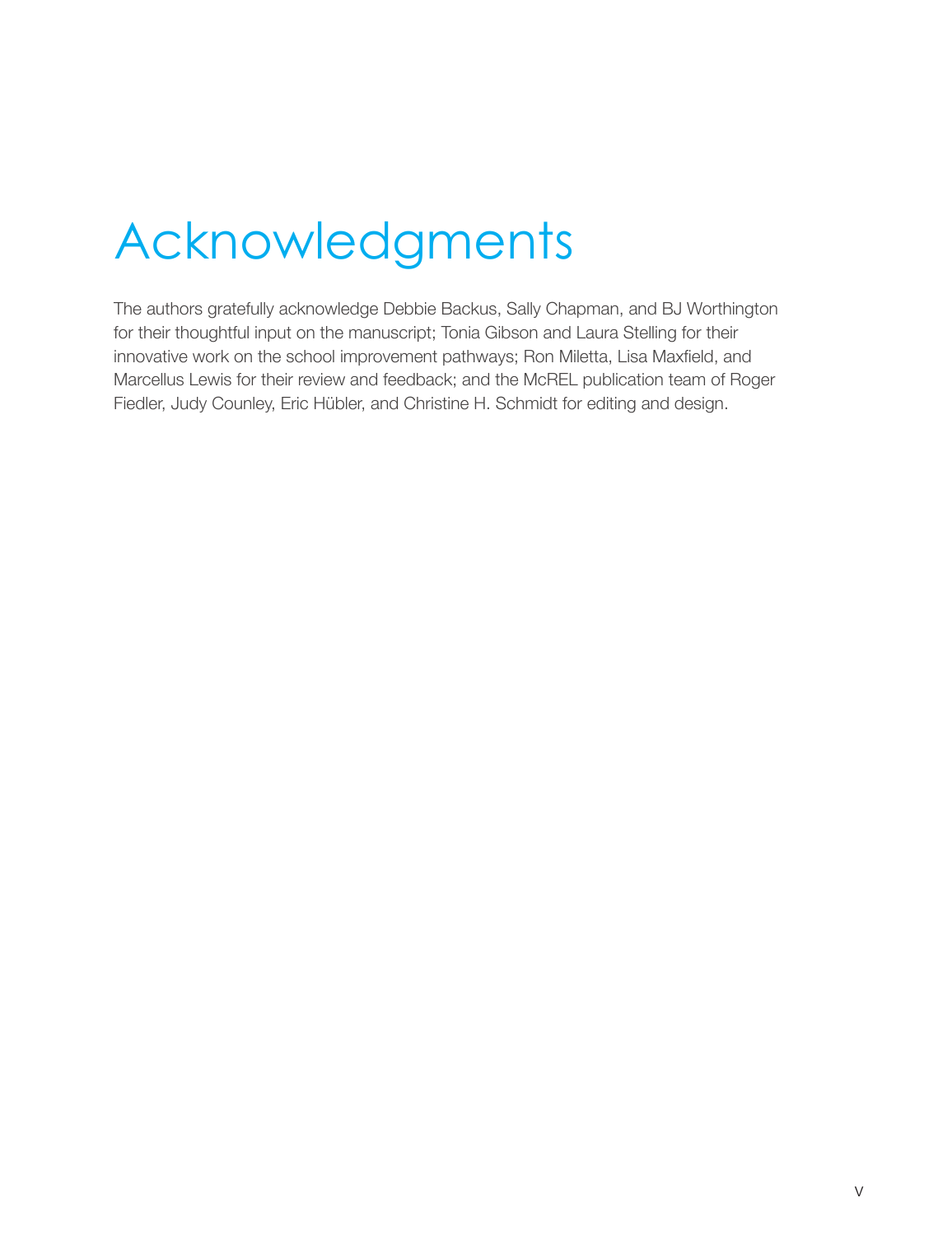## Acknowledgments

The authors gratefully acknowledge Debbie Backus, Sally Chapman, and BJ Worthington for their thoughtful input on the manuscript; Tonia Gibson and Laura Stelling for their innovative work on the school improvement pathways; Ron Miletta, Lisa Maxfield, and Marcellus Lewis for their review and feedback; and the McREL publication team of Roger Fiedler, Judy Counley, Eric Hübler, and Christine H. Schmidt for editing and design.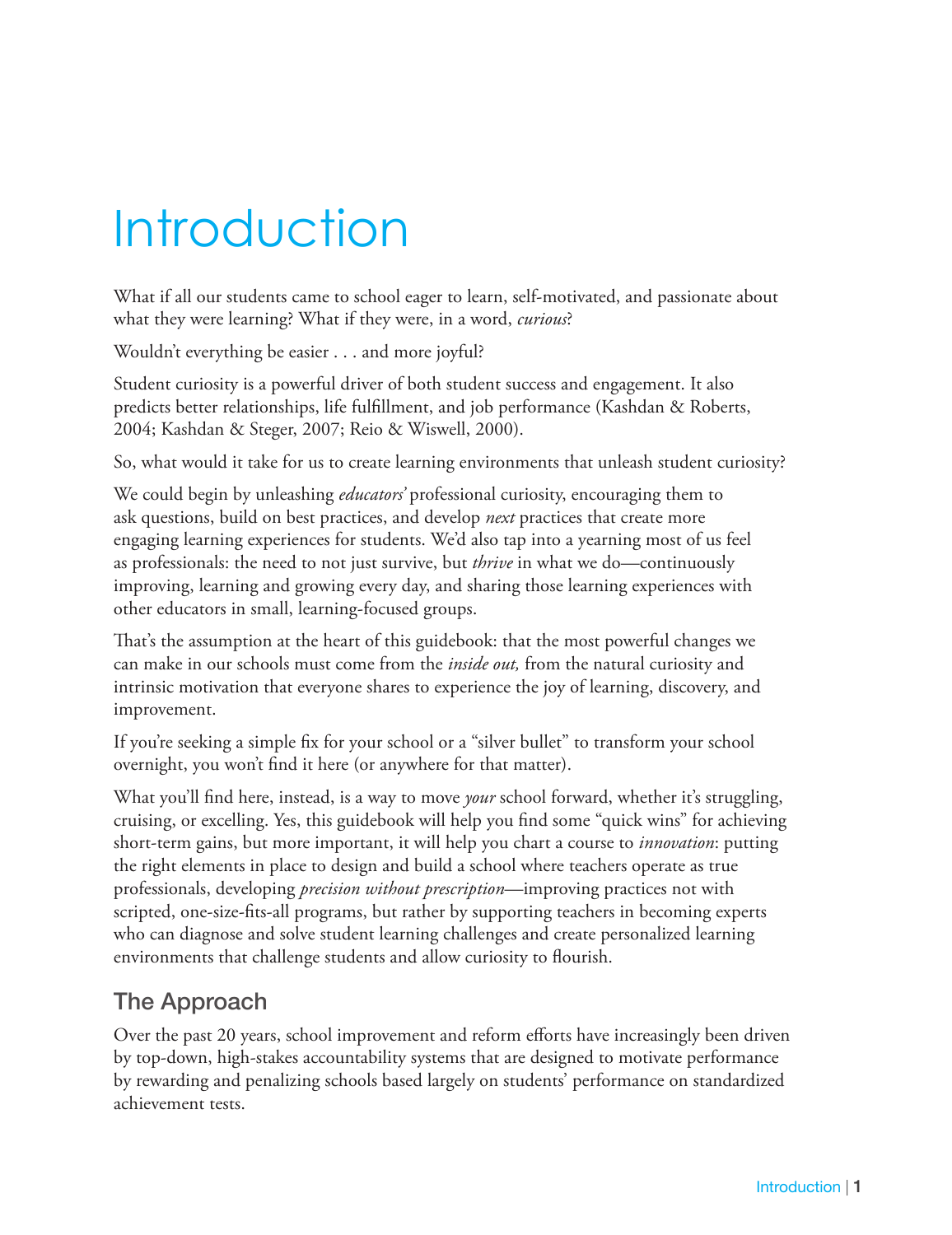## **Introduction**

What if all our students came to school eager to learn, self-motivated, and passionate about what they were learning? What if they were, in a word, *curious*?

Wouldn't everything be easier . . . and more joyful?

Student curiosity is a powerful driver of both student success and engagement. It also predicts better relationships, life fulfillment, and job performance (Kashdan & Roberts, 2004; Kashdan & Steger, 2007; Reio & Wiswell, 2000).

So, what would it take for us to create learning environments that unleash student curiosity?

We could begin by unleashing *educators'* professional curiosity, encouraging them to ask questions, build on best practices, and develop *next* practices that create more engaging learning experiences for students. We'd also tap into a yearning most of us feel as professionals: the need to not just survive, but *thrive* in what we do—continuously improving, learning and growing every day, and sharing those learning experiences with other educators in small, learning-focused groups.

That's the assumption at the heart of this guidebook: that the most powerful changes we can make in our schools must come from the *inside out,* from the natural curiosity and intrinsic motivation that everyone shares to experience the joy of learning, discovery, and improvement.

If you're seeking a simple fix for your school or a "silver bullet" to transform your school overnight, you won't find it here (or anywhere for that matter).

What you'll find here, instead, is a way to move *your* school forward, whether it's struggling, cruising, or excelling. Yes, this guidebook will help you find some "quick wins" for achieving short-term gains, but more important, it will help you chart a course to *innovation*: putting the right elements in place to design and build a school where teachers operate as true professionals, developing *precision without prescription*—improving practices not with scripted, one-size-fits-all programs, but rather by supporting teachers in becoming experts who can diagnose and solve student learning challenges and create personalized learning environments that challenge students and allow curiosity to flourish.

#### The Approach

Over the past 20 years, school improvement and reform efforts have increasingly been driven by top-down, high-stakes accountability systems that are designed to motivate performance by rewarding and penalizing schools based largely on students' performance on standardized achievement tests.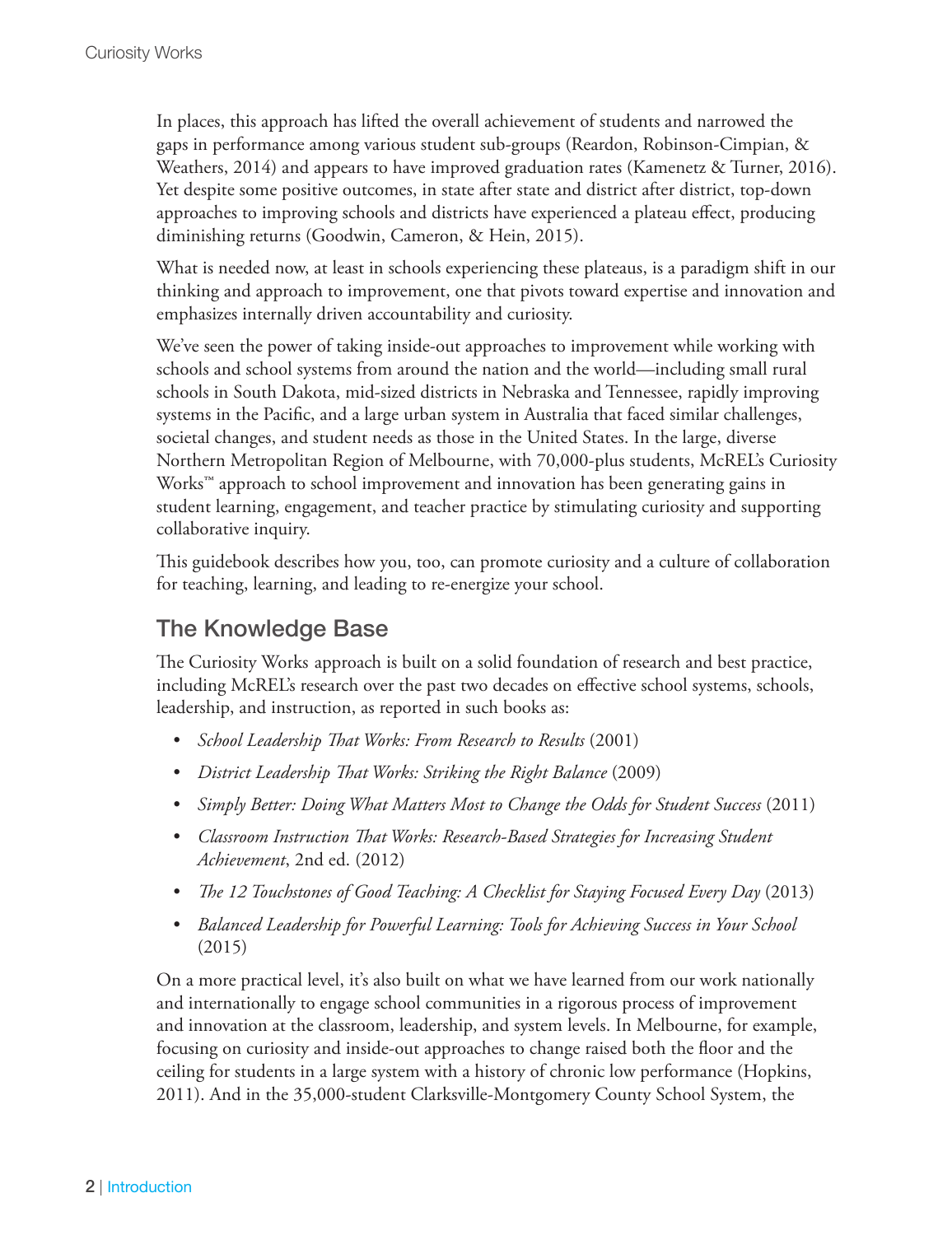In places, this approach has lifted the overall achievement of students and narrowed the gaps in performance among various student sub-groups (Reardon, Robinson-Cimpian, & Weathers, 2014) and appears to have improved graduation rates (Kamenetz & Turner, 2016). Yet despite some positive outcomes, in state after state and district after district, top-down approaches to improving schools and districts have experienced a plateau effect, producing diminishing returns (Goodwin, Cameron, & Hein, 2015).

What is needed now, at least in schools experiencing these plateaus, is a paradigm shift in our thinking and approach to improvement, one that pivots toward expertise and innovation and emphasizes internally driven accountability and curiosity.

We've seen the power of taking inside-out approaches to improvement while working with schools and school systems from around the nation and the world—including small rural schools in South Dakota, mid-sized districts in Nebraska and Tennessee, rapidly improving systems in the Pacific, and a large urban system in Australia that faced similar challenges, societal changes, and student needs as those in the United States. In the large, diverse Northern Metropolitan Region of Melbourne, with 70,000-plus students, McREL's Curiosity Works™ approach to school improvement and innovation has been generating gains in student learning, engagement, and teacher practice by stimulating curiosity and supporting collaborative inquiry.

This guidebook describes how you, too, can promote curiosity and a culture of collaboration for teaching, learning, and leading to re-energize your school.

#### The Knowledge Base

The Curiosity Works approach is built on a solid foundation of research and best practice, including McREL's research over the past two decades on effective school systems, schools, leadership, and instruction, as reported in such books as:

- *• School Leadership That Works: From Research to Results* (2001)
- *• District Leadership That Works: Striking the Right Balance* (2009)
- *• Simply Better: Doing What Matters Most to Change the Odds for Student Success* (2011)
- *• Classroom Instruction That Works: Research-Based Strategies for Increasing Student Achievement*, 2nd ed. (2012)
- *• The 12 Touchstones of Good Teaching: A Checklist for Staying Focused Every Day* (2013)
- *• Balanced Leadership for Powerful Learning: Tools for Achieving Success in Your School*  (2015)

On a more practical level, it's also built on what we have learned from our work nationally and internationally to engage school communities in a rigorous process of improvement and innovation at the classroom, leadership, and system levels. In Melbourne, for example, focusing on curiosity and inside-out approaches to change raised both the floor and the ceiling for students in a large system with a history of chronic low performance (Hopkins, 2011). And in the 35,000-student Clarksville-Montgomery County School System, the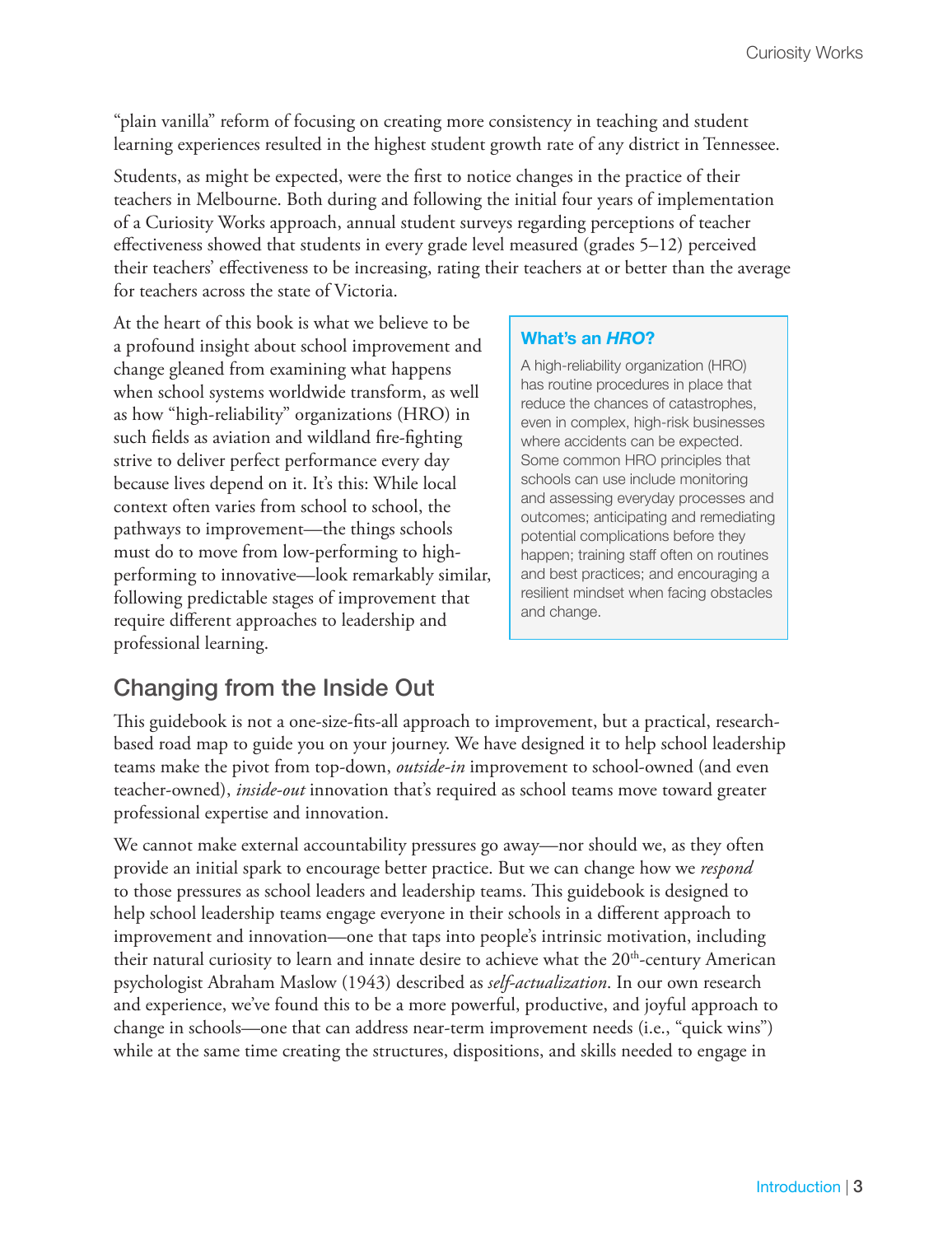"plain vanilla" reform of focusing on creating more consistency in teaching and student learning experiences resulted in the highest student growth rate of any district in Tennessee.

Students, as might be expected, were the first to notice changes in the practice of their teachers in Melbourne. Both during and following the initial four years of implementation of a Curiosity Works approach, annual student surveys regarding perceptions of teacher effectiveness showed that students in every grade level measured (grades 5–12) perceived their teachers' effectiveness to be increasing, rating their teachers at or better than the average for teachers across the state of Victoria.

At the heart of this book is what we believe to be a profound insight about school improvement and change gleaned from examining what happens when school systems worldwide transform, as well as how "high-reliability" organizations (HRO) in such fields as aviation and wildland fire-fighting strive to deliver perfect performance every day because lives depend on it. It's this: While local context often varies from school to school, the pathways to improvement—the things schools must do to move from low-performing to highperforming to innovative—look remarkably similar, following predictable stages of improvement that require different approaches to leadership and professional learning.

#### **What's an** *HRO***?**

A high-reliability organization (HRO) has routine procedures in place that reduce the chances of catastrophes, even in complex, high-risk businesses where accidents can be expected. Some common HRO principles that schools can use include monitoring and assessing everyday processes and outcomes; anticipating and remediating potential complications before they happen; training staff often on routines and best practices; and encouraging a resilient mindset when facing obstacles and change.

#### Changing from the Inside Out

This guidebook is not a one-size-fits-all approach to improvement, but a practical, researchbased road map to guide you on your journey. We have designed it to help school leadership teams make the pivot from top-down, *outside-in* improvement to school-owned (and even teacher-owned), *inside-out* innovation that's required as school teams move toward greater professional expertise and innovation.

We cannot make external accountability pressures go away—nor should we, as they often provide an initial spark to encourage better practice. But we can change how we *respond* to those pressures as school leaders and leadership teams. This guidebook is designed to help school leadership teams engage everyone in their schools in a different approach to improvement and innovation—one that taps into people's intrinsic motivation, including their natural curiosity to learn and innate desire to achieve what the  $20<sup>th</sup>$ -century American psychologist Abraham Maslow (1943) described as *self-actualization*. In our own research and experience, we've found this to be a more powerful, productive, and joyful approach to change in schools—one that can address near-term improvement needs (i.e., "quick wins") while at the same time creating the structures, dispositions, and skills needed to engage in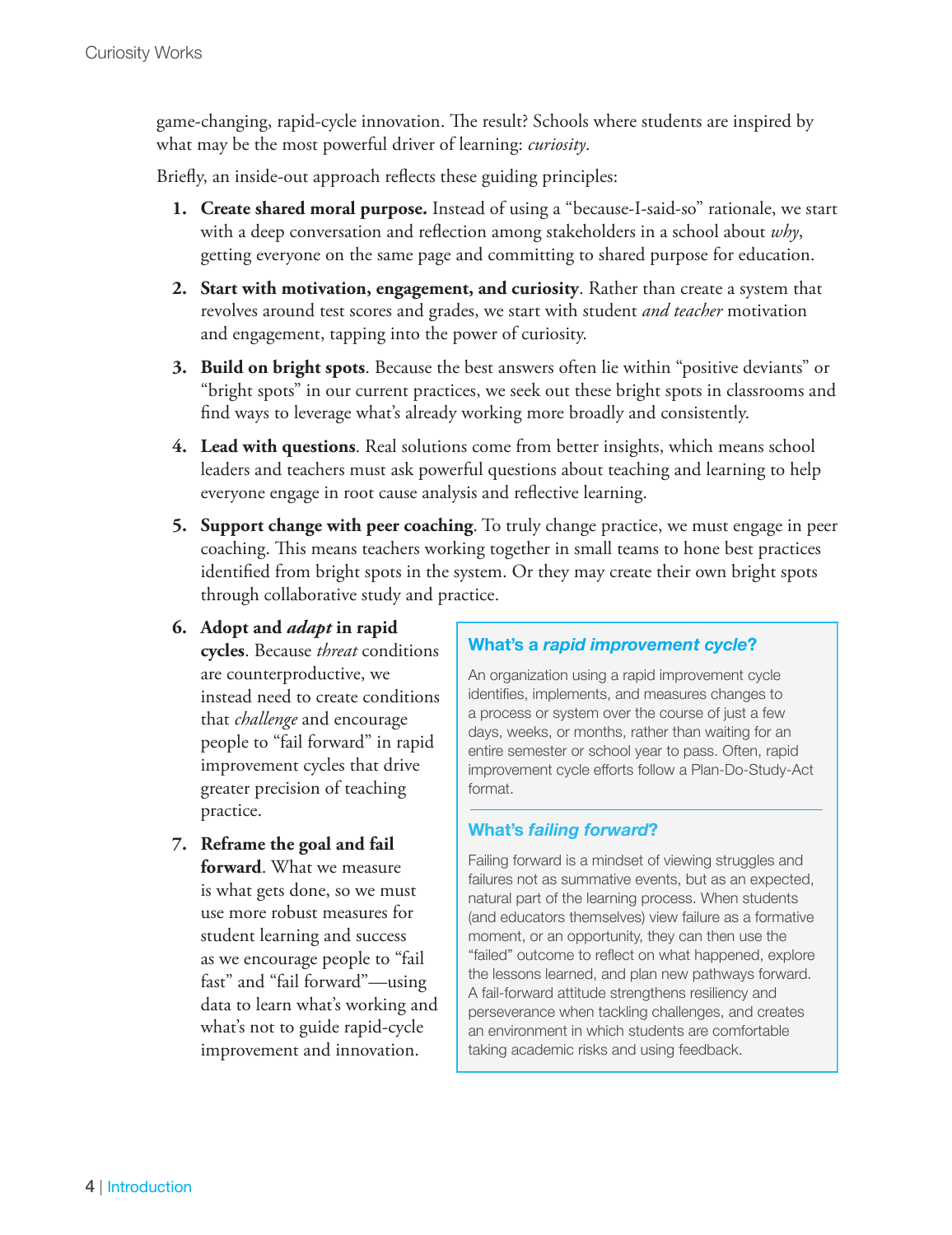game-changing, rapid-cycle innovation. The result? Schools where students are inspired by what may be the most powerful driver of learning: *curiosity*.

Briefly, an inside-out approach reflects these guiding principles:

- **1. Create shared moral purpose.** Instead of using a "because-I-said-so" rationale, we start with a deep conversation and reflection among stakeholders in a school about *why*, getting everyone on the same page and committing to shared purpose for education.
- **2. Start with motivation, engagement, and curiosity**. Rather than create a system that revolves around test scores and grades, we start with student *and teacher* motivation and engagement, tapping into the power of curiosity.
- **3. Build on bright spots**. Because the best answers often lie within "positive deviants" or "bright spots" in our current practices, we seek out these bright spots in classrooms and find ways to leverage what's already working more broadly and consistently.
- **4. Lead with questions**. Real solutions come from better insights, which means school leaders and teachers must ask powerful questions about teaching and learning to help everyone engage in root cause analysis and reflective learning.
- **5. Support change with peer coaching**. To truly change practice, we must engage in peer coaching. This means teachers working together in small teams to hone best practices identified from bright spots in the system. Or they may create their own bright spots through collaborative study and practice.
- **6. Adopt and** *adapt* **in rapid**

**cycles**. Because *threat* conditions are counterproductive, we instead need to create conditions that *challenge* and encourage people to "fail forward" in rapid improvement cycles that drive greater precision of teaching practice.

**7. Reframe the goal and fail** 

**forward**. What we measure is what gets done, so we must use more robust measures for student learning and success as we encourage people to "fail fast" and "fail forward"—using data to learn what's working and what's not to guide rapid-cycle improvement and innovation.

#### **What's a** *rapid improvement cycle***?**

An organization using a rapid improvement cycle identifies, implements, and measures changes to a process or system over the course of just a few days, weeks, or months, rather than waiting for an entire semester or school year to pass. Often, rapid improvement cycle efforts follow a Plan-Do-Study-Act format.

#### **What's** *failing forward***?**

Failing forward is a mindset of viewing struggles and failures not as summative events, but as an expected, natural part of the learning process. When students (and educators themselves) view failure as a formative moment, or an opportunity, they can then use the "failed" outcome to reflect on what happened, explore the lessons learned, and plan new pathways forward. A fail-forward attitude strengthens resiliency and perseverance when tackling challenges, and creates an environment in which students are comfortable taking academic risks and using feedback.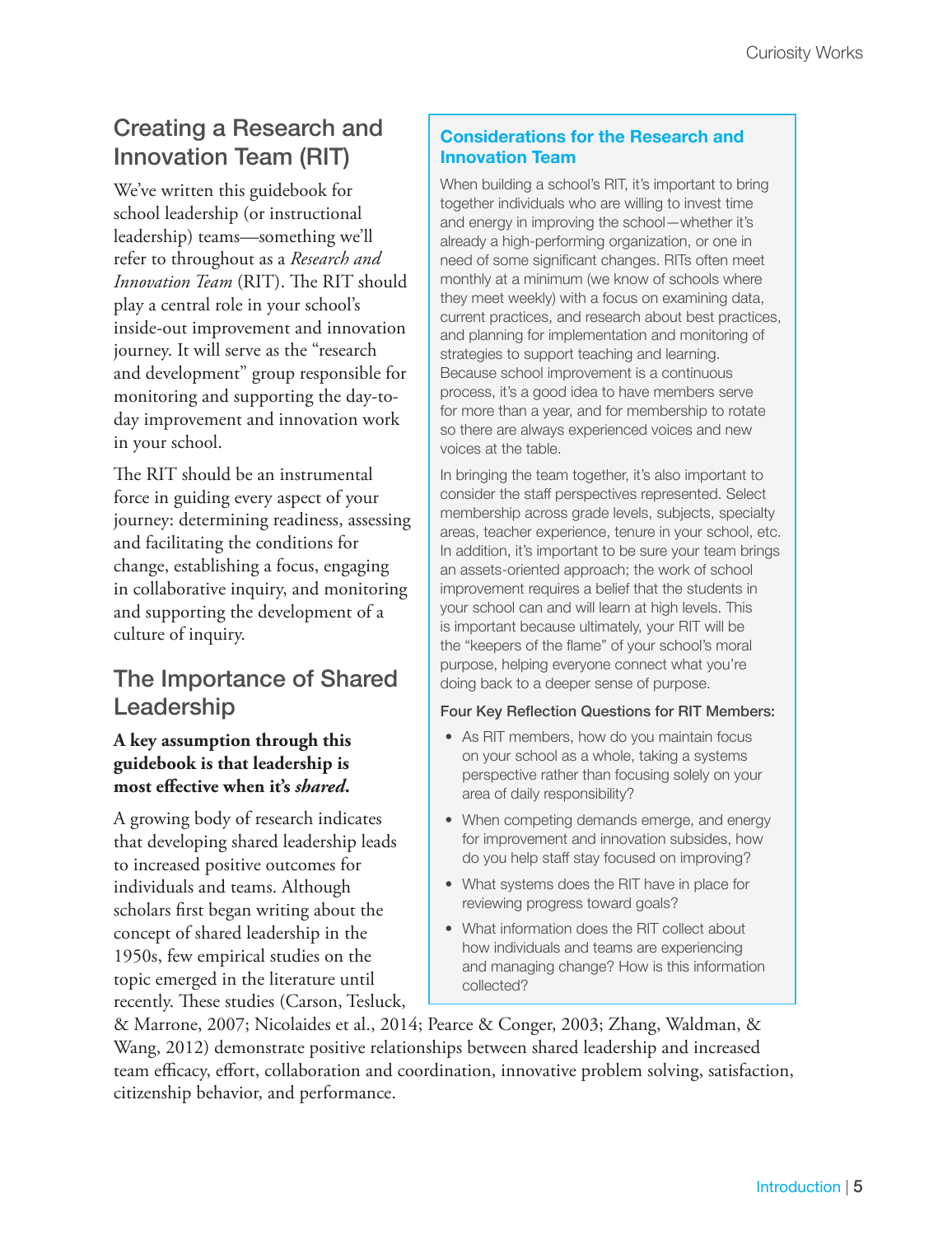#### Creating a Research and Innovation Team (RIT)

We've written this guidebook for school leadership (or instructional leadership) teams—something we'll refer to throughout as a *Research and Innovation Team* (RIT). The RIT should play a central role in your school's inside-out improvement and innovation journey. It will serve as the "research and development" group responsible for monitoring and supporting the day-today improvement and innovation work in your school.

The RIT should be an instrumental force in guiding every aspect of your journey: determining readiness, assessing and facilitating the conditions for change, establishing a focus, engaging in collaborative inquiry, and monitoring and supporting the development of a culture of inquiry.

#### The Importance of Shared Leadership

#### **A key assumption through this guidebook is that leadership is most effective when it's** *shared***.**

A growing body of research indicates that developing shared leadership leads to increased positive outcomes for individuals and teams. Although scholars first began writing about the concept of shared leadership in the 1950s, few empirical studies on the topic emerged in the literature until recently. These studies (Carson, Tesluck,

#### **Considerations for the Research and Innovation Team**

When building a school's RIT, it's important to bring together individuals who are willing to invest time and energy in improving the school—whether it's already a high-performing organization, or one in need of some significant changes. RITs often meet monthly at a minimum (we know of schools where they meet weekly) with a focus on examining data, current practices, and research about best practices, and planning for implementation and monitoring of strategies to support teaching and learning. Because school improvement is a continuous process, it's a good idea to have members serve for more than a year, and for membership to rotate so there are always experienced voices and new voices at the table.

In bringing the team together, it's also important to consider the staff perspectives represented. Select membership across grade levels, subjects, specialty areas, teacher experience, tenure in your school, etc. In addition, it's important to be sure your team brings an assets-oriented approach; the work of school improvement requires a belief that the students in your school can and will learn at high levels. This is important because ultimately, your RIT will be the "keepers of the flame" of your school's moral purpose, helping everyone connect what you're doing back to a deeper sense of purpose.

#### Four Key Reflection Questions for RIT Members:

- As RIT members, how do you maintain focus on your school as a whole, taking a systems perspective rather than focusing solely on your area of daily responsibility?
- When competing demands emerge, and energy for improvement and innovation subsides, how do you help staff stay focused on improving?
- What systems does the RIT have in place for reviewing progress toward goals?
- What information does the RIT collect about how individuals and teams are experiencing and managing change? How is this information collected?

& Marrone, 2007; Nicolaides et al., 2014; Pearce & Conger, 2003; Zhang, Waldman, & Wang, 2012) demonstrate positive relationships between shared leadership and increased team efficacy, effort, collaboration and coordination, innovative problem solving, satisfaction, citizenship behavior, and performance.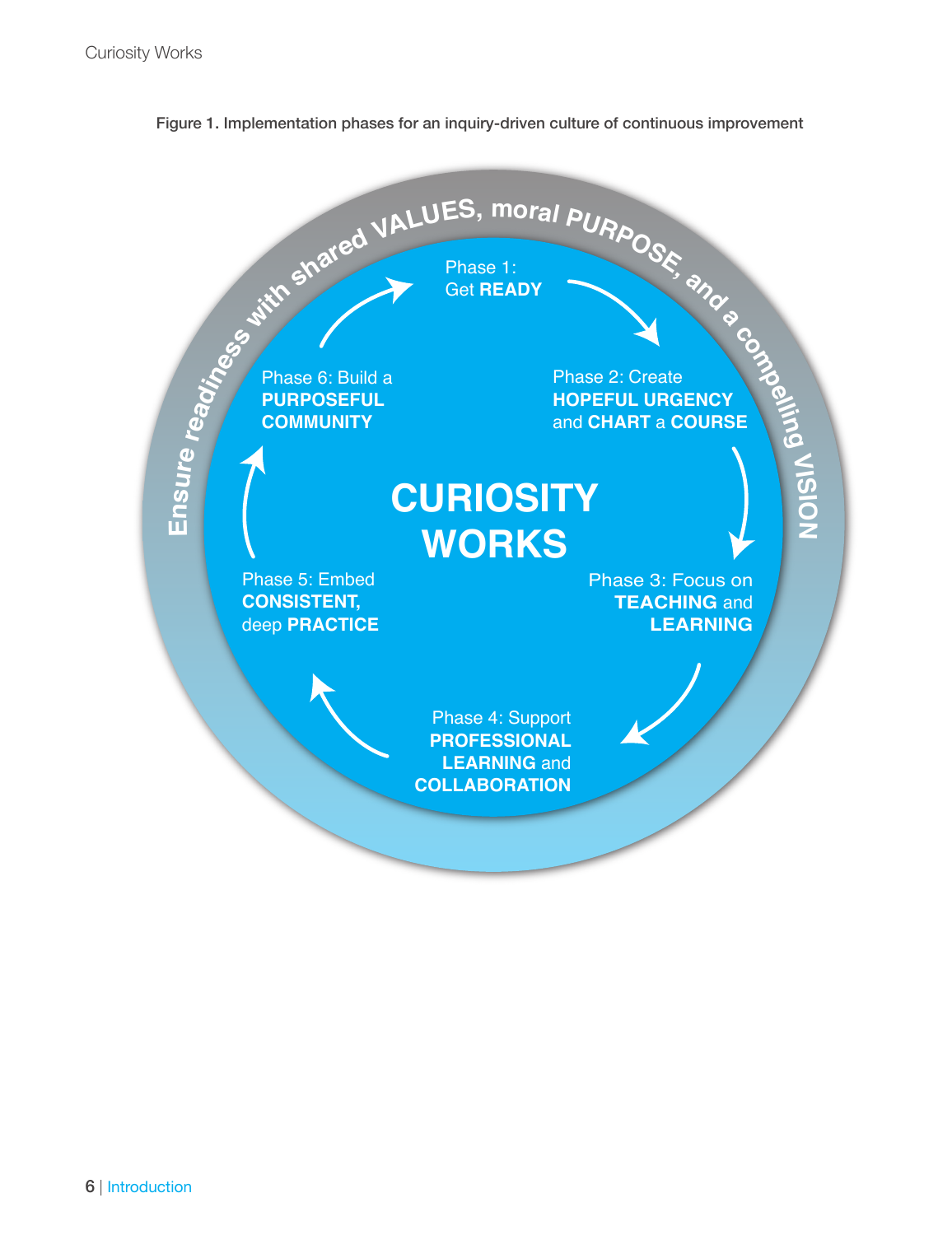

Figure 1. Implementation phases for an inquiry-driven culture of continuous improvement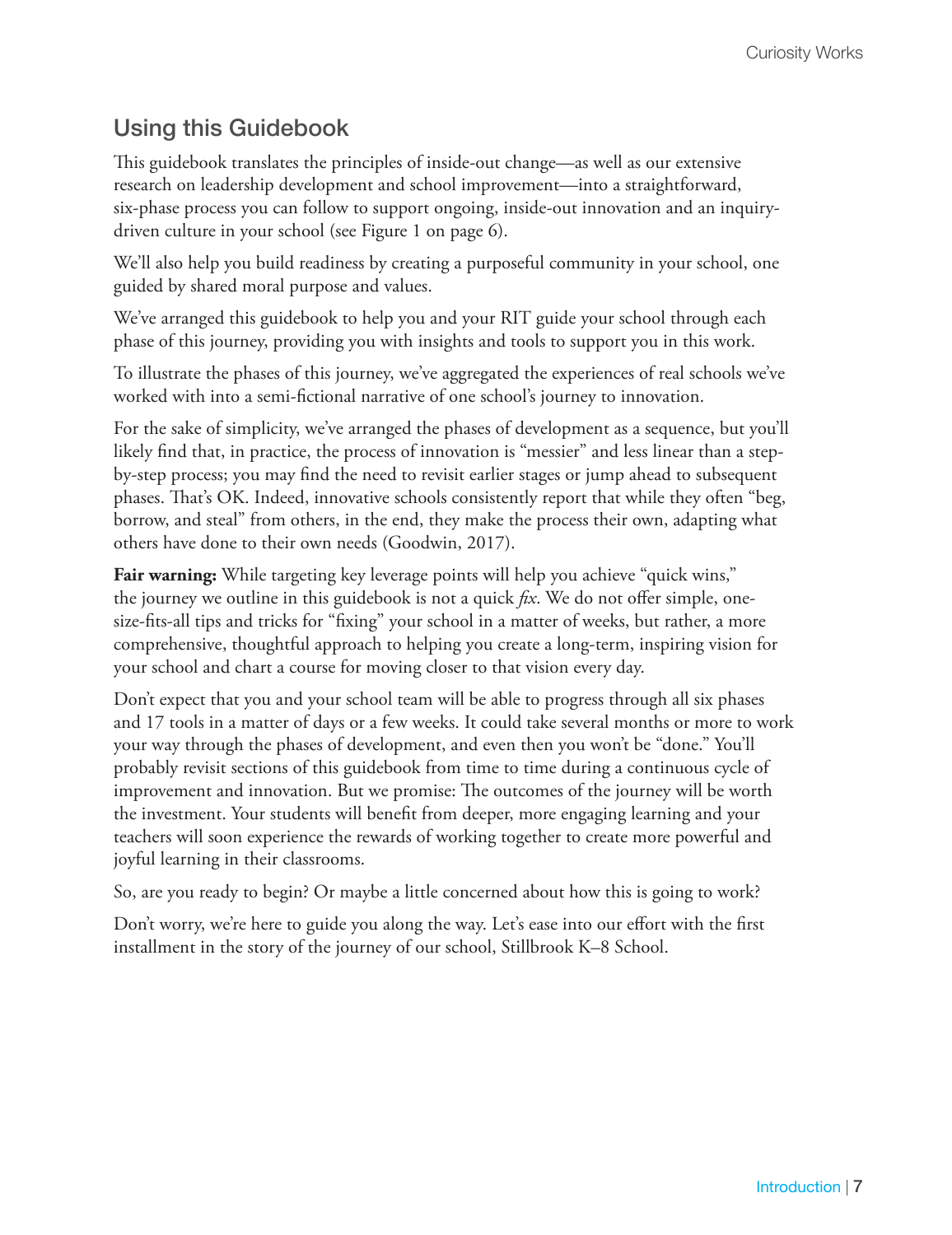#### Using this Guidebook

This guidebook translates the principles of inside-out change—as well as our extensive research on leadership development and school improvement—into a straightforward, six-phase process you can follow to support ongoing, inside-out innovation and an inquirydriven culture in your school (see Figure 1 on page 6).

We'll also help you build readiness by creating a purposeful community in your school, one guided by shared moral purpose and values.

We've arranged this guidebook to help you and your RIT guide your school through each phase of this journey, providing you with insights and tools to support you in this work.

To illustrate the phases of this journey, we've aggregated the experiences of real schools we've worked with into a semi-fictional narrative of one school's journey to innovation.

For the sake of simplicity, we've arranged the phases of development as a sequence, but you'll likely find that, in practice, the process of innovation is "messier" and less linear than a stepby-step process; you may find the need to revisit earlier stages or jump ahead to subsequent phases. That's OK. Indeed, innovative schools consistently report that while they often "beg, borrow, and steal" from others, in the end, they make the process their own, adapting what others have done to their own needs (Goodwin, 2017).

**Fair warning:** While targeting key leverage points will help you achieve "quick wins," the journey we outline in this guidebook is not a quick *fix*. We do not offer simple, onesize-fits-all tips and tricks for "fixing" your school in a matter of weeks, but rather, a more comprehensive, thoughtful approach to helping you create a long-term, inspiring vision for your school and chart a course for moving closer to that vision every day.

Don't expect that you and your school team will be able to progress through all six phases and 17 tools in a matter of days or a few weeks. It could take several months or more to work your way through the phases of development, and even then you won't be "done." You'll probably revisit sections of this guidebook from time to time during a continuous cycle of improvement and innovation. But we promise: The outcomes of the journey will be worth the investment. Your students will benefit from deeper, more engaging learning and your teachers will soon experience the rewards of working together to create more powerful and joyful learning in their classrooms.

So, are you ready to begin? Or maybe a little concerned about how this is going to work?

Don't worry, we're here to guide you along the way. Let's ease into our effort with the first installment in the story of the journey of our school, Stillbrook K–8 School.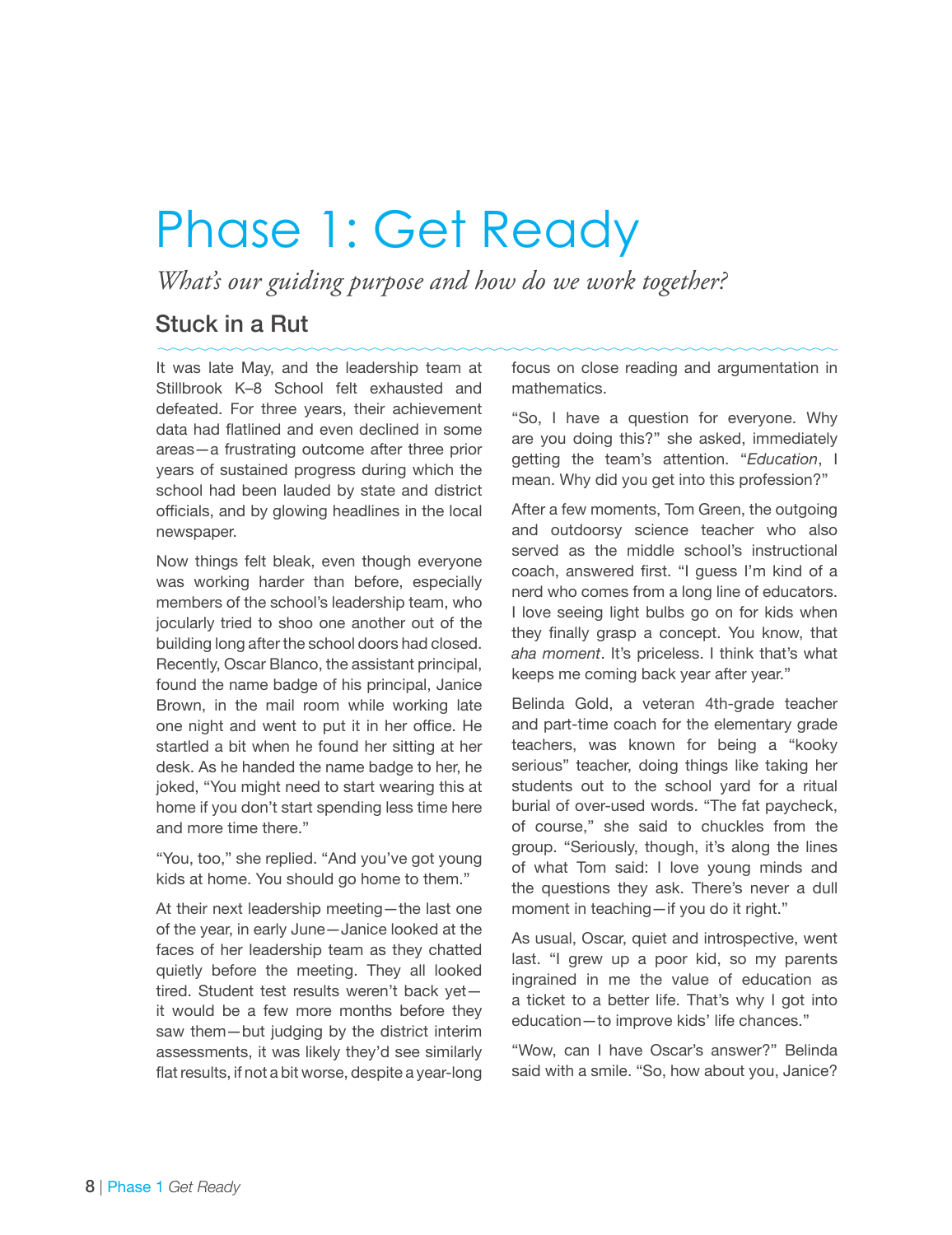### Phase 1: Get Ready

*What's our guiding purpose and how do we work together?*

#### Stuck in a Rut

It was late May, and the leadership team at Stillbrook K–8 School felt exhausted and defeated. For three years, their achievement data had flatlined and even declined in some areas—a frustrating outcome after three prior years of sustained progress during which the school had been lauded by state and district officials, and by glowing headlines in the local newspaper.

Now things felt bleak, even though everyone was working harder than before, especially members of the school's leadership team, who jocularly tried to shoo one another out of the building long after the school doors had closed. Recently, Oscar Blanco, the assistant principal, found the name badge of his principal, Janice Brown, in the mail room while working late one night and went to put it in her office. He startled a bit when he found her sitting at her desk. As he handed the name badge to her, he joked, "You might need to start wearing this at home if you don't start spending less time here and more time there."

"You, too," she replied. "And you've got young kids at home. You should go home to them."

At their next leadership meeting—the last one of the year, in early June—Janice looked at the faces of her leadership team as they chatted quietly before the meeting. They all looked tired. Student test results weren't back yet it would be a few more months before they saw them—but judging by the district interim assessments, it was likely they'd see similarly flat results, if not a bit worse, despite a year-long focus on close reading and argumentation in mathematics.

"So, I have a question for everyone. Why are you doing this?" she asked, immediately getting the team's attention. "*Education*, I mean. Why did you get into this profession?"

After a few moments, Tom Green, the outgoing and outdoorsy science teacher who also served as the middle school's instructional coach, answered first. "I guess I'm kind of a nerd who comes from a long line of educators. I love seeing light bulbs go on for kids when they finally grasp a concept. You know, that *aha moment*. It's priceless. I think that's what keeps me coming back year after year."

Belinda Gold, a veteran 4th-grade teacher and part-time coach for the elementary grade teachers, was known for being a "kooky serious" teacher, doing things like taking her students out to the school yard for a ritual burial of over-used words. "The fat paycheck, of course," she said to chuckles from the group. "Seriously, though, it's along the lines of what Tom said: I love young minds and the questions they ask. There's never a dull moment in teaching—if you do it right."

As usual, Oscar, quiet and introspective, went last. "I grew up a poor kid, so my parents ingrained in me the value of education as a ticket to a better life. That's why I got into education—to improve kids' life chances."

"Wow, can I have Oscar's answer?" Belinda said with a smile. "So, how about you, Janice?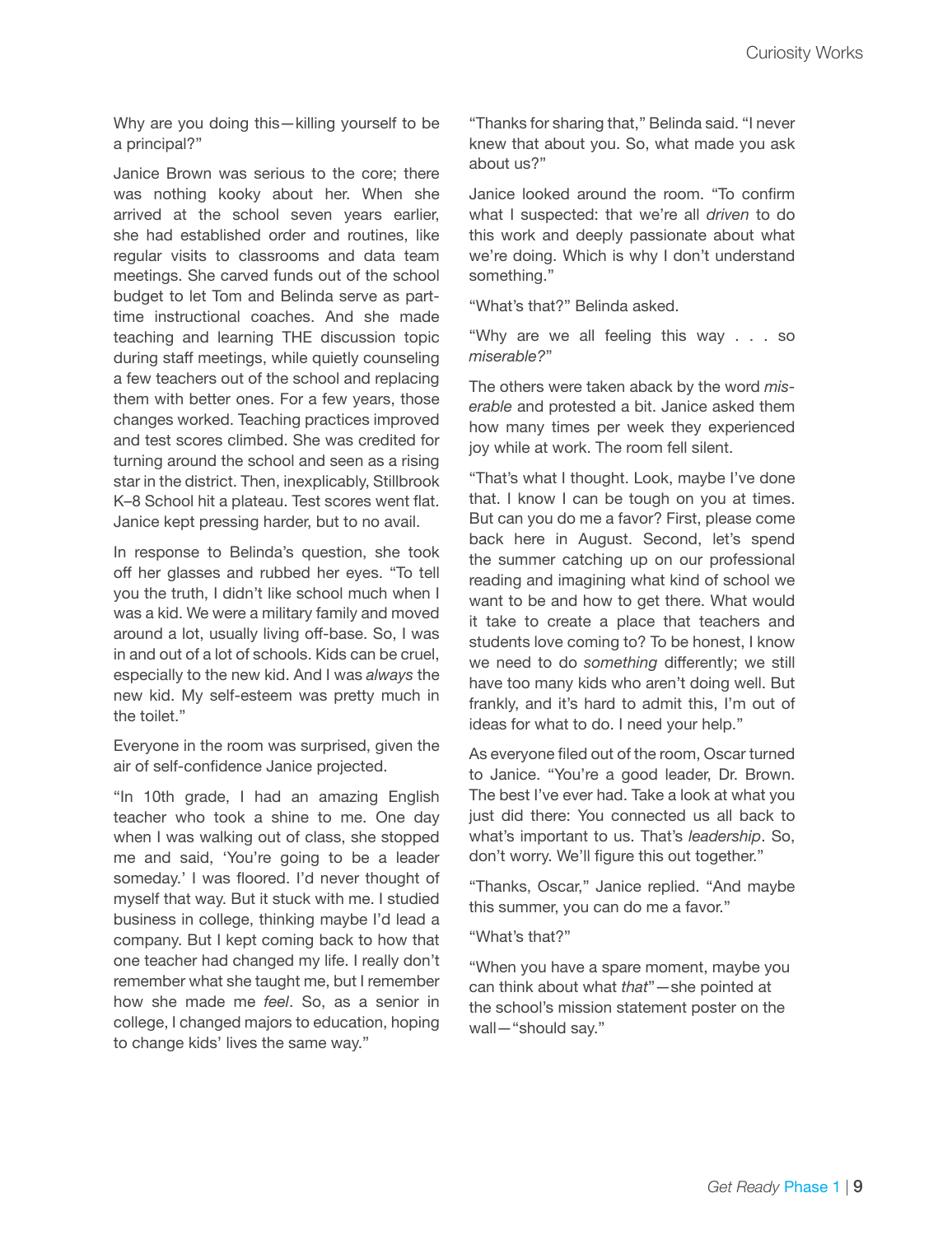Why are you doing this—killing yourself to be a principal?"

Janice Brown was serious to the core; there was nothing kooky about her. When she arrived at the school seven years earlier, she had established order and routines, like regular visits to classrooms and data team meetings. She carved funds out of the school budget to let Tom and Belinda serve as parttime instructional coaches. And she made teaching and learning THE discussion topic during staff meetings, while quietly counseling a few teachers out of the school and replacing them with better ones. For a few years, those changes worked. Teaching practices improved and test scores climbed. She was credited for turning around the school and seen as a rising star in the district. Then, inexplicably, Stillbrook K–8 School hit a plateau. Test scores went flat. Janice kept pressing harder, but to no avail.

In response to Belinda's question, she took off her glasses and rubbed her eyes. "To tell you the truth, I didn't like school much when I was a kid. We were a military family and moved around a lot, usually living off-base. So, I was in and out of a lot of schools. Kids can be cruel, especially to the new kid. And I was *always* the new kid. My self-esteem was pretty much in the toilet."

Everyone in the room was surprised, given the air of self-confidence Janice projected.

"In 10th grade, I had an amazing English teacher who took a shine to me. One day when I was walking out of class, she stopped me and said, 'You're going to be a leader someday.' I was floored. I'd never thought of myself that way. But it stuck with me. I studied business in college, thinking maybe I'd lead a company. But I kept coming back to how that one teacher had changed my life. I really don't remember what she taught me, but I remember how she made me *feel*. So, as a senior in college, I changed majors to education, hoping to change kids' lives the same way."

"Thanks for sharing that," Belinda said. "I never knew that about you. So, what made you ask about us?"

Janice looked around the room. "To confirm what I suspected: that we're all *driven* to do this work and deeply passionate about what we're doing. Which is why I don't understand something."

"What's that?" Belinda asked.

"Why are we all feeling this way . . . so *miserable?*"

The others were taken aback by the word *miserable* and protested a bit. Janice asked them how many times per week they experienced joy while at work. The room fell silent.

"That's what I thought. Look, maybe I've done that. I know I can be tough on you at times. But can you do me a favor? First, please come back here in August. Second, let's spend the summer catching up on our professional reading and imagining what kind of school we want to be and how to get there. What would it take to create a place that teachers and students love coming to? To be honest, I know we need to do *something* differently; we still have too many kids who aren't doing well. But frankly, and it's hard to admit this, I'm out of ideas for what to do. I need your help."

As everyone filed out of the room, Oscar turned to Janice. "You're a good leader, Dr. Brown. The best I've ever had. Take a look at what you just did there: You connected us all back to what's important to us. That's *leadership*. So, don't worry. We'll figure this out together."

"Thanks, Oscar," Janice replied. "And maybe this summer, you can do me a favor."

#### "What's that?"

"When you have a spare moment, maybe you can think about what *that*"—she pointed at the school's mission statement poster on the wall—"should say."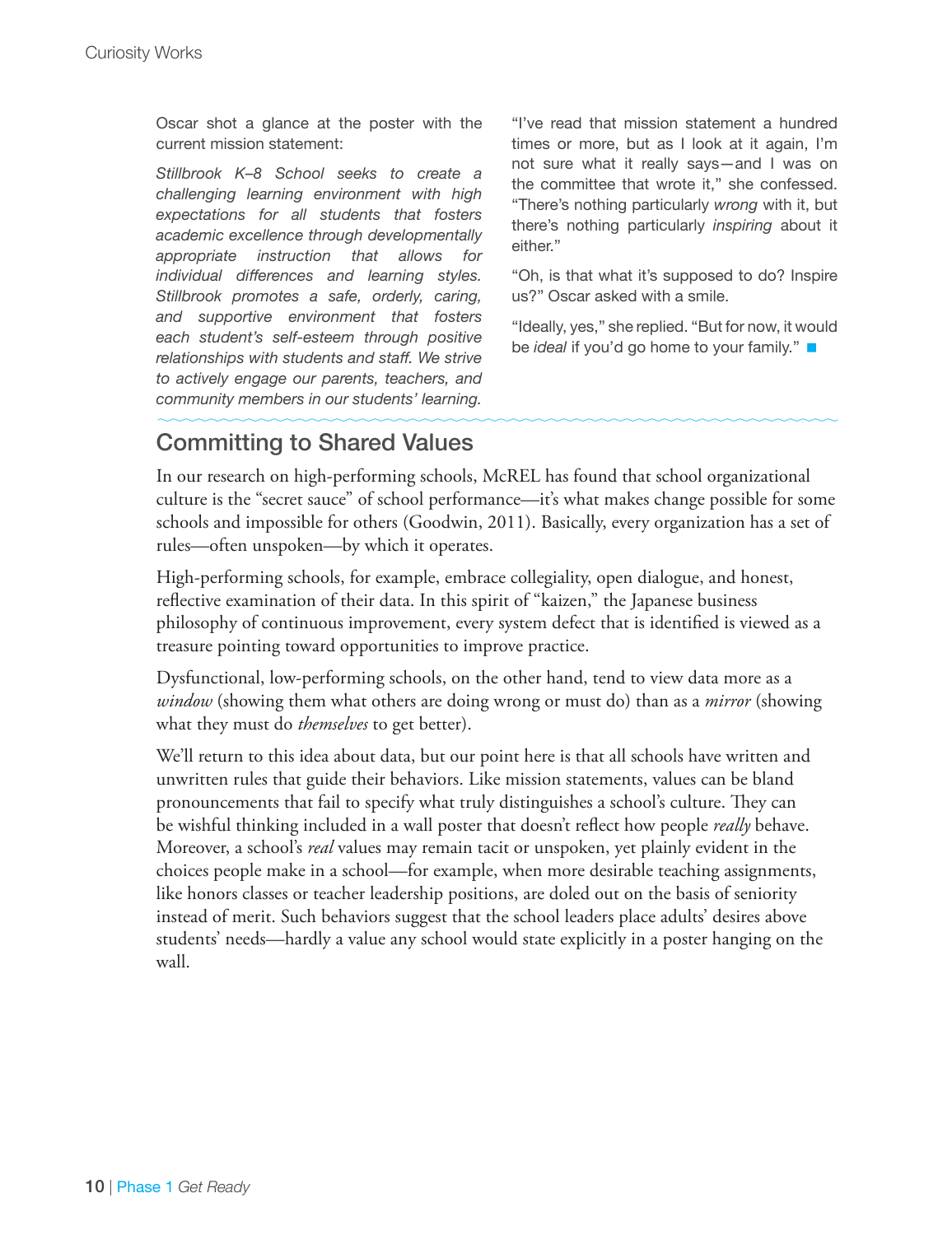Oscar shot a glance at the poster with the current mission statement:

*Stillbrook K–8 School seeks to create a challenging learning environment with high expectations for all students that fosters academic excellence through developmentally appropriate instruction that allows for individual differences and learning styles. Stillbrook promotes a safe, orderly, caring, and supportive environment that fosters each student's self-esteem through positive relationships with students and staff. We strive to actively engage our parents, teachers, and community members in our students' learning.*

"I've read that mission statement a hundred times or more, but as I look at it again, I'm not sure what it really says—and I was on the committee that wrote it," she confessed. "There's nothing particularly *wrong* with it, but there's nothing particularly *inspiring* about it either."

"Oh, is that what it's supposed to do? Inspire us?" Oscar asked with a smile.

"Ideally, yes," she replied. "But for now, it would be *ideal* if you'd go home to your family."

#### Committing to Shared Values

In our research on high-performing schools, McREL has found that school organizational culture is the "secret sauce" of school performance—it's what makes change possible for some schools and impossible for others (Goodwin, 2011). Basically, every organization has a set of rules—often unspoken—by which it operates.

High-performing schools, for example, embrace collegiality, open dialogue, and honest, reflective examination of their data. In this spirit of "kaizen," the Japanese business philosophy of continuous improvement, every system defect that is identified is viewed as a treasure pointing toward opportunities to improve practice.

Dysfunctional, low-performing schools, on the other hand, tend to view data more as a *window* (showing them what others are doing wrong or must do) than as a *mirror* (showing what they must do *themselves* to get better).

We'll return to this idea about data, but our point here is that all schools have written and unwritten rules that guide their behaviors. Like mission statements, values can be bland pronouncements that fail to specify what truly distinguishes a school's culture. They can be wishful thinking included in a wall poster that doesn't reflect how people *really* behave. Moreover, a school's *real* values may remain tacit or unspoken, yet plainly evident in the choices people make in a school—for example, when more desirable teaching assignments, like honors classes or teacher leadership positions, are doled out on the basis of seniority instead of merit. Such behaviors suggest that the school leaders place adults' desires above students' needs—hardly a value any school would state explicitly in a poster hanging on the wall.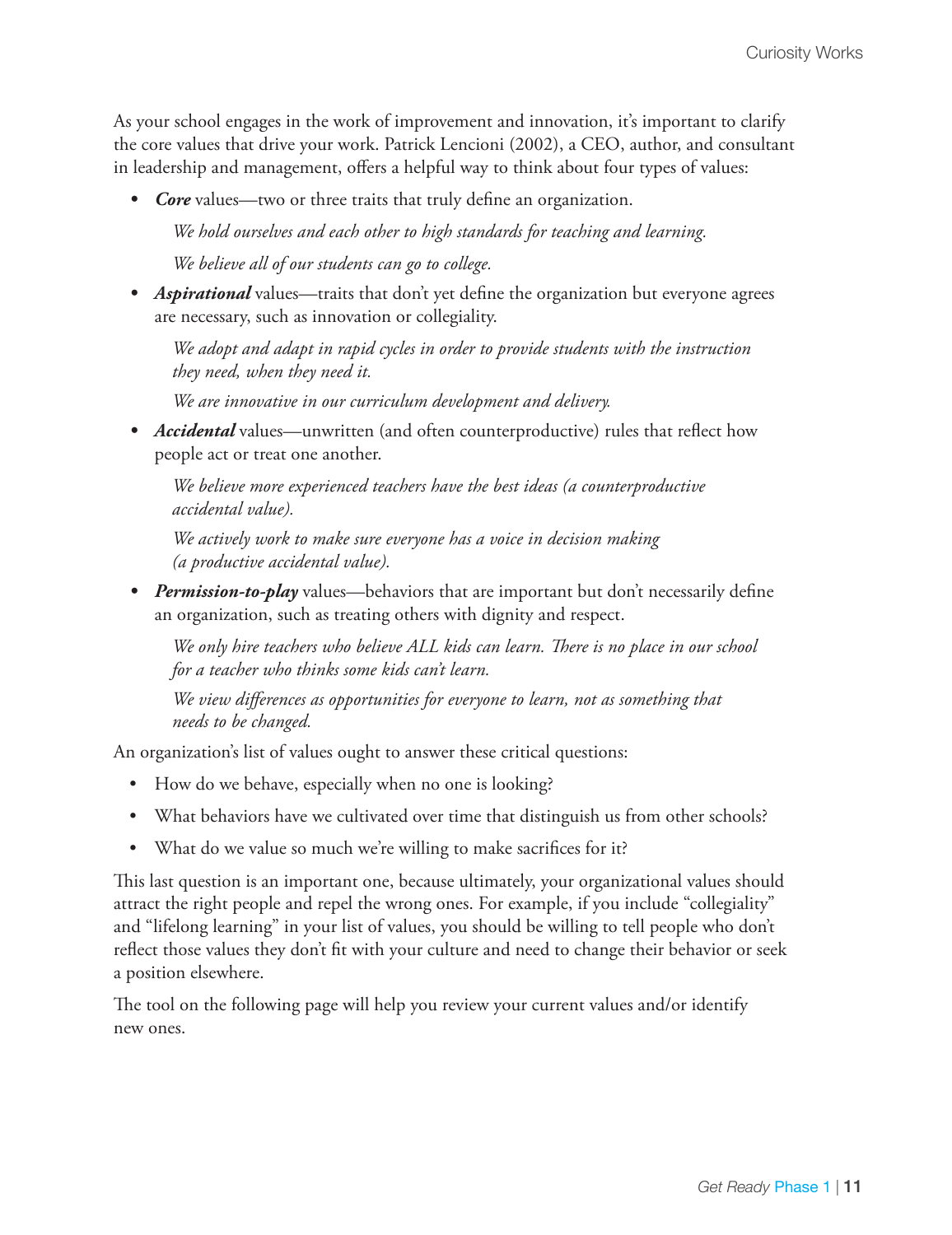As your school engages in the work of improvement and innovation, it's important to clarify the core values that drive your work. Patrick Lencioni (2002), a CEO, author, and consultant in leadership and management, offers a helpful way to think about four types of values:

*• Core* values—two or three traits that truly define an organization.

*We hold ourselves and each other to high standards for teaching and learning.*

*We believe all of our students can go to college.*

• *Aspirational* values—traits that don't yet define the organization but everyone agrees are necessary, such as innovation or collegiality.

*We adopt and adapt in rapid cycles in order to provide students with the instruction they need, when they need it.*

*We are innovative in our curriculum development and delivery.*

*• Accidental* values—unwritten (and often counterproductive) rules that reflect how people act or treat one another.

*We believe more experienced teachers have the best ideas (a counterproductive accidental value).*

*We actively work to make sure everyone has a voice in decision making (a productive accidental value).*

• *Permission-to-play* values—behaviors that are important but don't necessarily define an organization, such as treating others with dignity and respect.

*We only hire teachers who believe ALL kids can learn. There is no place in our school for a teacher who thinks some kids can't learn.*

*We view differences as opportunities for everyone to learn, not as something that needs to be changed.*

An organization's list of values ought to answer these critical questions:

- How do we behave, especially when no one is looking?
- What behaviors have we cultivated over time that distinguish us from other schools?
- What do we value so much we're willing to make sacrifices for it?

This last question is an important one, because ultimately, your organizational values should attract the right people and repel the wrong ones. For example, if you include "collegiality" and "lifelong learning" in your list of values, you should be willing to tell people who don't reflect those values they don't fit with your culture and need to change their behavior or seek a position elsewhere.

The tool on the following page will help you review your current values and/or identify new ones.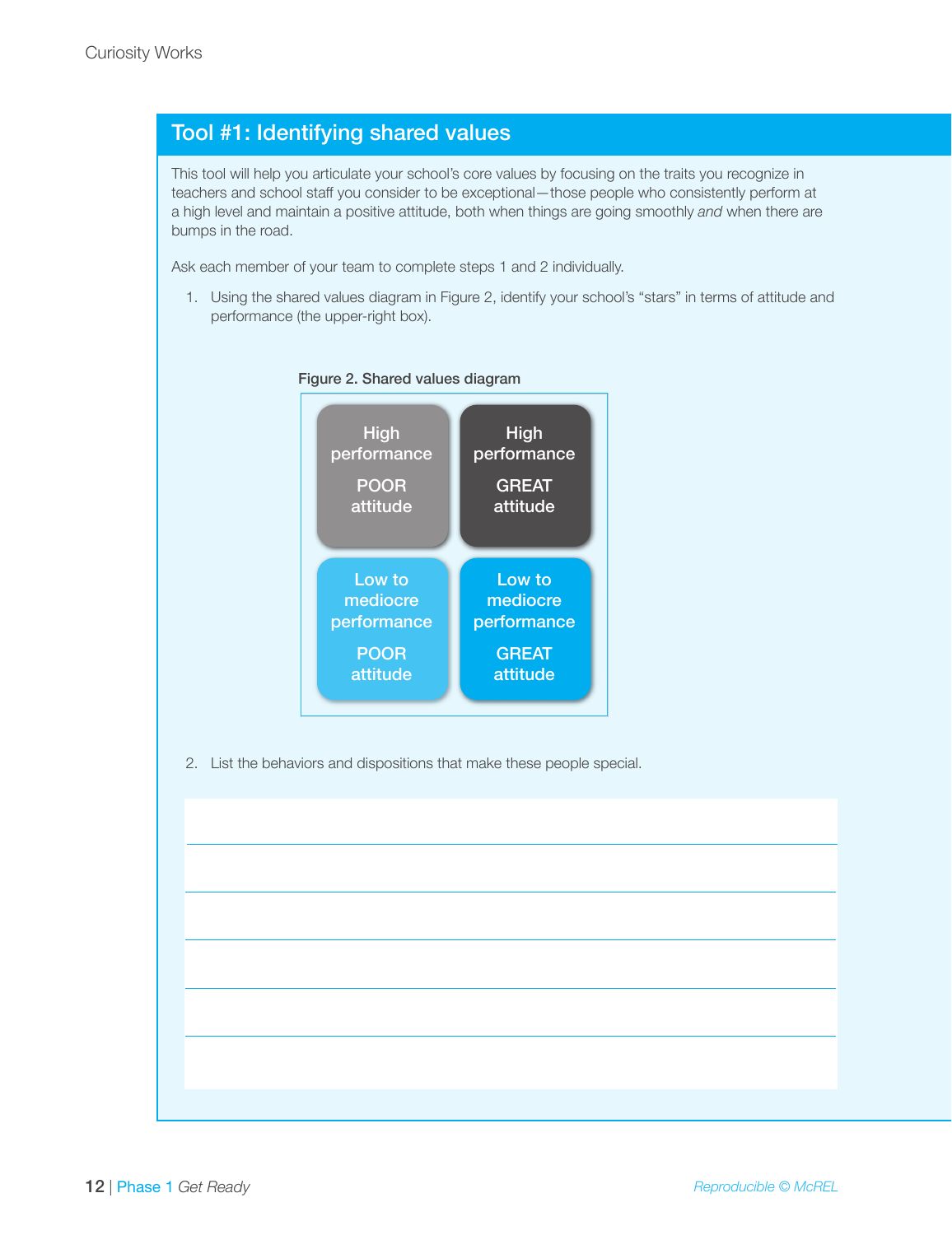#### Tool #1: Identifying shared values

This tool will help you articulate your school's core values by focusing on the traits you recognize in teachers and school staff you consider to be exceptional—those people who consistently perform at a high level and maintain a positive attitude, both when things are going smoothly *and* when there are bumps in the road.

Ask each member of your team to complete steps 1 and 2 individually.

1. Using the shared values diagram in Figure 2, identify your school's "stars" in terms of attitude and performance (the upper-right box).



#### Figure 2. Shared values diagram

2. List the behaviors and dispositions that make these people special.